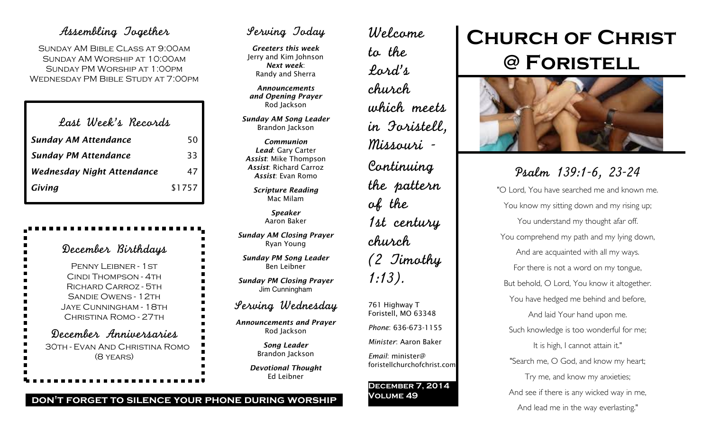### Assembling Together

Sunday AM Bible Class at 9:00am Sunday AM Worship at 10:00am Sunday PM Worship at 1:00pm Wednesday PM Bible Study at 7:00pm

| Last Week's Records               |        |
|-----------------------------------|--------|
| <b>Sunday AM Attendance</b>       | 50     |
| <b>Sunday PM Attendance</b>       | 33     |
| <b>Wednesday Night Attendance</b> | 47     |
| Giving                            | \$1757 |

| December Birthdays                                                                                                                                    |
|-------------------------------------------------------------------------------------------------------------------------------------------------------|
| PENNY LEIBNER - 1 ST<br>CINDI THOMPSON - 4TH<br>RICHARD CARROZ - 5TH<br><b>SANDIE OWENS - 12TH</b><br>JAYE CUNNINGHAM - 18TH<br>CHRISTINA ROMO - 27TH |
| December Anniversaries<br>30TH - EVAN AND CHRISTINA ROMO<br>(8 YEARS)                                                                                 |

## Serving Today

*Greeters this week* Jerry and Kim Johnson *Next week*: Randy and Sherra

*Announcements and Opening Prayer* Rod Jackson

*Sunday AM Song Leader* Brandon Jackson

*Communion Lead*: Gary Carter *Assist*: Mike Thompson *Assist*: Richard Carroz *Assist*: Evan Romo

*Scripture Reading* Mac Milam

> *Speaker* Aaron Baker

*Sunday AM Closing Prayer* Ryan Young

*Sunday PM Song Leader* Ben Leibner

*Sunday PM Closing Prayer* Jim Cunningham

### Serving Wednesday

*Announcements and Prayer* Rod Jackson

> *Song Leader* Brandon Jackson

*Devotional Thought* Ed Leibner

Welcome to the Lord's church which meets in Foristell, Missouri - Continuing the pattern of the 1st century church (2 Timothy 1:13). 761 Highway T Foristell, MO 63348

*Phone*: 636-673-1155

*Minister*: Aaron Baker

*Email*: minister@ foristellchurchofchrist.com

#### **December 7, 2014 Volume 49**

# **Church of Christ @ Foristell**



Psalm 139:1-6, 23-24 "O Lord, You have searched me and known me. You know my sitting down and my rising up; You understand my thought afar off. You comprehend my path and my lying down, And are acquainted with all my ways. For there is not a word on my tongue, But behold, O Lord, You know it altogether. You have hedged me behind and before, And laid Your hand upon me. Such knowledge is too wonderful for me; It is high, I cannot attain it." "Search me, O God, and know my heart; Try me, and know my anxieties; And see if there is any wicked way in me, And lead me in the way everlasting."

#### **don't forget to silence your phone during worship**